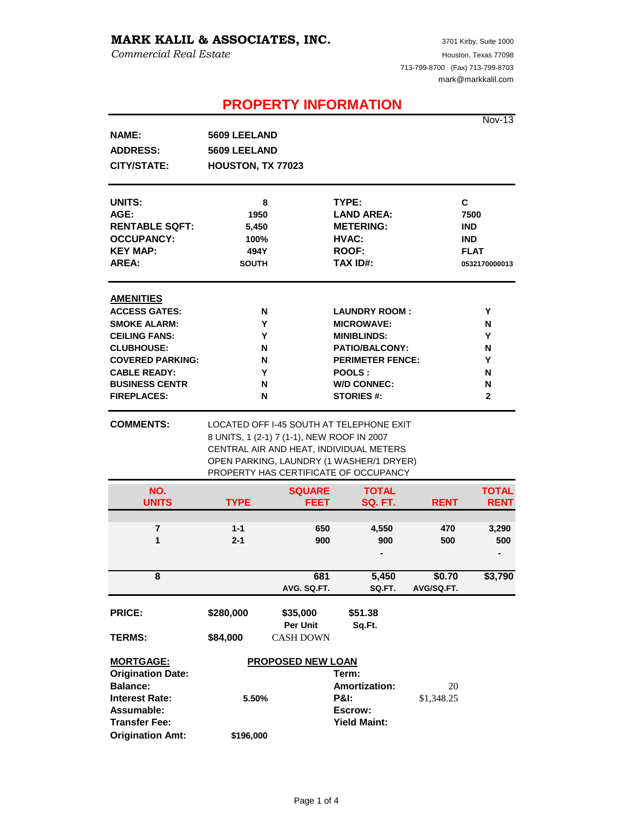## **MARK KALIL & ASSOCIATES, INC.**

*Commercial Real Estate*

# **PROPERTY INFORMATION**

Nov-13

| <b>NAME:</b>                       | 5609 LEELAND                               |                              |                                                                                                                                                                          |             |                             |
|------------------------------------|--------------------------------------------|------------------------------|--------------------------------------------------------------------------------------------------------------------------------------------------------------------------|-------------|-----------------------------|
| <b>ADDRESS:</b>                    | 5609 LEELAND                               |                              |                                                                                                                                                                          |             |                             |
| <b>CITY/STATE:</b>                 | HOUSTON, TX 77023                          |                              |                                                                                                                                                                          |             |                             |
| UNITS:                             | 8                                          |                              | TYPE:                                                                                                                                                                    |             | C                           |
| AGE:                               | 1950                                       |                              | <b>LAND AREA:</b>                                                                                                                                                        |             | 7500                        |
| <b>RENTABLE SQFT:</b>              | 5,450                                      |                              | <b>METERING:</b>                                                                                                                                                         |             | <b>IND</b>                  |
| <b>OCCUPANCY:</b>                  | 100%                                       |                              | HVAC:                                                                                                                                                                    |             | <b>IND</b>                  |
| <b>KEY MAP:</b>                    | 494Y                                       |                              | <b>ROOF:</b>                                                                                                                                                             |             | <b>FLAT</b>                 |
| <b>AREA:</b>                       | <b>SOUTH</b>                               |                              | <b>TAX ID#:</b>                                                                                                                                                          |             | 0532170000013               |
| <b>AMENITIES</b>                   |                                            |                              |                                                                                                                                                                          |             |                             |
| <b>ACCESS GATES:</b>               | N                                          |                              | <b>LAUNDRY ROOM:</b>                                                                                                                                                     |             | Y                           |
| <b>SMOKE ALARM:</b>                | Y                                          |                              | <b>MICROWAVE:</b>                                                                                                                                                        |             | N                           |
| <b>CEILING FANS:</b>               | Y                                          |                              | <b>MINIBLINDS:</b>                                                                                                                                                       |             | Y                           |
| <b>CLUBHOUSE:</b>                  | N                                          |                              | <b>PATIO/BALCONY:</b>                                                                                                                                                    |             | N                           |
| <b>COVERED PARKING:</b>            | N                                          |                              | <b>PERIMETER FENCE:</b>                                                                                                                                                  |             | Y                           |
| <b>CABLE READY:</b>                | Y                                          |                              | POOLS:                                                                                                                                                                   |             | N                           |
| <b>BUSINESS CENTR</b>              | N                                          |                              | <b>W/D CONNEC:</b>                                                                                                                                                       |             | N                           |
| <b>FIREPLACES:</b>                 | N                                          |                              | <b>STORIES #:</b>                                                                                                                                                        |             | $\mathbf{2}$                |
| <b>COMMENTS:</b>                   | 8 UNITS, 1 (2-1) 7 (1-1), NEW ROOF IN 2007 |                              | LOCATED OFF I-45 SOUTH AT TELEPHONE EXIT<br>CENTRAL AIR AND HEAT, INDIVIDUAL METERS<br>OPEN PARKING, LAUNDRY (1 WASHER/1 DRYER)<br>PROPERTY HAS CERTIFICATE OF OCCUPANCY |             |                             |
| NO.<br><b>UNITS</b>                | <b>TYPE</b>                                | <b>SQUARE</b><br><b>FEET</b> | <b>TOTAL</b><br><b>SQ. FT.</b>                                                                                                                                           |             | <b>TOTAL</b><br><b>RENT</b> |
|                                    |                                            |                              |                                                                                                                                                                          | <b>RENT</b> |                             |
| 7                                  | $1 - 1$                                    | 650                          | 4,550                                                                                                                                                                    | 470         | 3,290                       |
| 1                                  | $2 - 1$                                    | 900                          | 900                                                                                                                                                                      | 500         | 500                         |
|                                    |                                            |                              |                                                                                                                                                                          |             |                             |
| 8                                  |                                            | 681                          | 5,450                                                                                                                                                                    | \$0.70      | \$3,790                     |
|                                    |                                            | AVG. SQ.FT.                  | SQ.FT.                                                                                                                                                                   | AVG/SQ.FT.  |                             |
| <b>PRICE:</b>                      | \$280,000                                  | \$35,000<br>Per Unit         | \$51.38<br>Sq.Ft.                                                                                                                                                        |             |                             |
| <b>TERMS:</b>                      | \$84,000                                   | <b>CASH DOWN</b>             |                                                                                                                                                                          |             |                             |
| <b>MORTGAGE:</b>                   | <b>PROPOSED NEW LOAN</b>                   |                              |                                                                                                                                                                          |             |                             |
| <b>Origination Date:</b>           |                                            |                              | Term:                                                                                                                                                                    |             |                             |
| <b>Balance:</b>                    |                                            |                              | <b>Amortization:</b>                                                                                                                                                     | 20          |                             |
| <b>Interest Rate:</b>              | 5.50%                                      |                              | <b>P&amp;I:</b><br>\$1,348.25                                                                                                                                            |             |                             |
| Assumable:<br><b>Transfer Fee:</b> |                                            |                              | Escrow:<br><b>Yield Maint:</b>                                                                                                                                           |             |                             |
| <b>Origination Amt:</b>            | \$196,000                                  |                              |                                                                                                                                                                          |             |                             |
|                                    |                                            |                              |                                                                                                                                                                          |             |                             |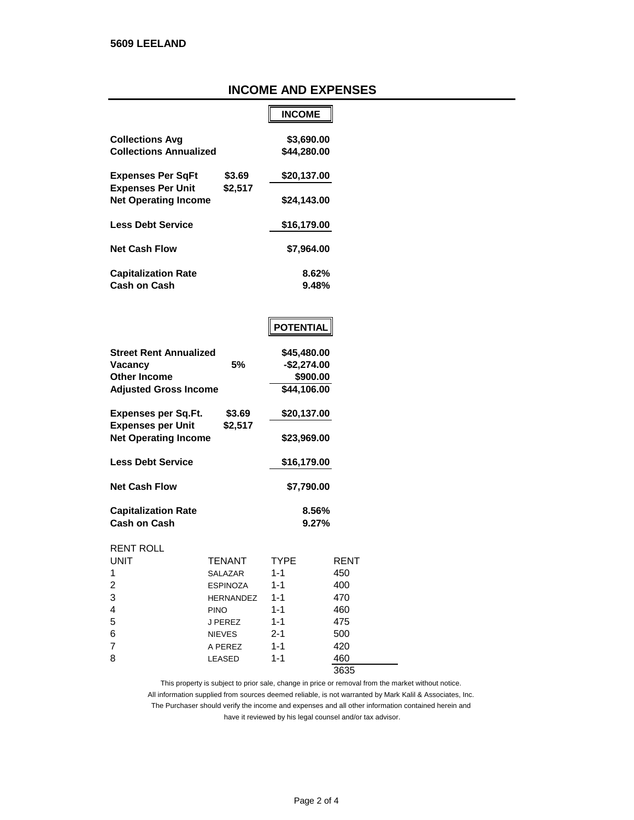## **INCOME AND EXPENSES**

|                               |             | <b>INCOME</b> |
|-------------------------------|-------------|---------------|
|                               |             |               |
| <b>Collections Avg</b>        |             | \$3,690.00    |
| <b>Collections Annualized</b> |             | \$44,280.00   |
| <b>Expenses Per SgFt</b>      | \$3.69      | \$20,137.00   |
| <b>Expenses Per Unit</b>      | \$2,517     |               |
| <b>Net Operating Income</b>   | \$24,143.00 |               |
| <b>Less Debt Service</b>      |             | \$16,179.00   |
|                               |             |               |
| <b>Net Cash Flow</b>          |             | \$7,964.00    |
| <b>Capitalization Rate</b>    |             | 8.62%         |
| <b>Cash on Cash</b>           |             | $9.48\%$      |

| POTENTIAL |  |
|-----------|--|
|           |  |

| <b>Street Rent Annualized</b>                           |               | \$45,480.00  |                |
|---------------------------------------------------------|---------------|--------------|----------------|
| Vacancy                                                 | 5%            | $-$2,274.00$ |                |
| <b>Other Income</b>                                     |               | \$900.00     |                |
| <b>Adjusted Gross Income</b>                            |               | \$44,106.00  |                |
| Expenses per Sq.Ft.                                     | \$3.69        | \$20,137.00  |                |
| <b>Expenses per Unit</b><br><b>Net Operating Income</b> | \$2,517       | \$23,969.00  |                |
| <b>Less Debt Service</b>                                |               | \$16,179.00  |                |
| <b>Net Cash Flow</b>                                    |               | \$7,790.00   |                |
| <b>Capitalization Rate</b><br><b>Cash on Cash</b>       |               |              | 8.56%<br>9.27% |
| <b>RENT ROLL</b>                                        |               |              |                |
| UNIT                                                    | <b>TENANT</b> | <b>TYPE</b>  | RENT           |
| 1                                                       | SALAZAR       | $1 - 1$      | 450            |
| 2                                                       | ESPINOZA      | $1 - 1$      | 400            |
| 3                                                       | HERNANDEZ     | $1 - 1$      | 470            |
| 4                                                       | <b>PINO</b>   | $1 - 1$      | 460            |
| 5                                                       | J PEREZ       | $1 - 1$      | 475            |

6 NIEVES 2-1 500<br>7 A PEREZ 1-1 420

8 LEASED 1-1 460

3635

A PEREZ 1-1 420

have it reviewed by his legal counsel and/or tax advisor. This property is subject to prior sale, change in price or removal from the market without notice. All information supplied from sources deemed reliable, is not warranted by Mark Kalil & Associates, Inc. The Purchaser should verify the income and expenses and all other information contained herein and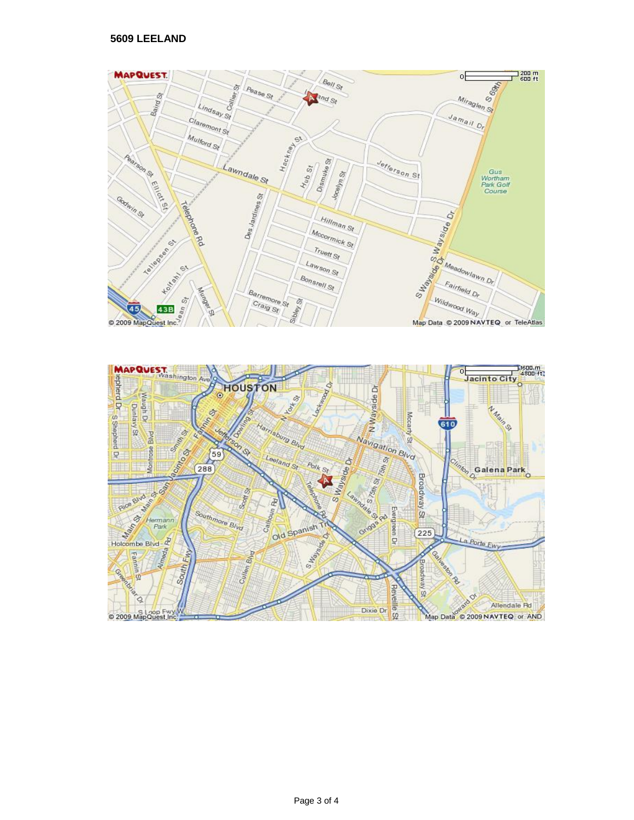